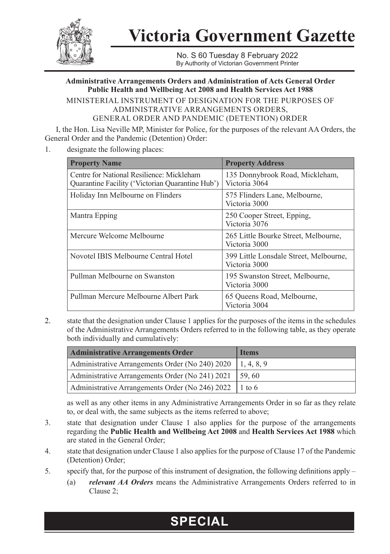

**Victoria Government Gazette**

No. S 60 Tuesday 8 February 2022 By Authority of Victorian Government Printer

## **Administrative Arrangements Orders and Administration of Acts General Order Public Health and Wellbeing Act 2008 and Health Services Act 1988**

MINISTERIAL INSTRUMENT OF DESIGNATION FOR THE PURPOSES OF ADMINISTRATIVE ARRANGEMENTS ORDERS, GENERAL ORDER AND PANDEMIC (DETENTION) ORDER

I, the Hon. Lisa Neville MP, Minister for Police, for the purposes of the relevant AA Orders, the General Order and the Pandemic (Detention) Order:

1. designate the following places:

| <b>Property Name</b>                                                                          | <b>Property Address</b>                                 |
|-----------------------------------------------------------------------------------------------|---------------------------------------------------------|
| Centre for National Resilience: Mickleham<br>Quarantine Facility ('Victorian Quarantine Hub') | 135 Donnybrook Road, Mickleham,<br>Victoria 3064        |
| Holiday Inn Melbourne on Flinders                                                             | 575 Flinders Lane, Melbourne,<br>Victoria 3000          |
| Mantra Epping                                                                                 | 250 Cooper Street, Epping,<br>Victoria 3076             |
| Mercure Welcome Melbourne                                                                     | 265 Little Bourke Street, Melbourne,<br>Victoria 3000   |
| Novotel IBIS Melbourne Central Hotel                                                          | 399 Little Lonsdale Street, Melbourne,<br>Victoria 3000 |
| Pullman Melbourne on Swanston                                                                 | 195 Swanston Street, Melbourne,<br>Victoria 3000        |
| Pullman Mercure Melbourne Albert Park                                                         | 65 Queens Road, Melbourne,<br>Victoria 3004             |

2. state that the designation under Clause 1 applies for the purposes of the items in the schedules of the Administrative Arrangements Orders referred to in the following table, as they operate both individually and cumulatively:

| <b>Administrative Arrangements Order</b>                 | <b>Items</b> |
|----------------------------------------------------------|--------------|
| Administrative Arrangements Order (No 240) 2020          | 1, 4, 8, 9   |
| Administrative Arrangements Order (No 241) 2021          | 59.60        |
| Administrative Arrangements Order (No 246) 2022   1 to 6 |              |

as well as any other items in any Administrative Arrangements Order in so far as they relate to, or deal with, the same subjects as the items referred to above;

- 3. state that designation under Clause 1 also applies for the purpose of the arrangements regarding the **Public Health and Wellbeing Act 2008** and **Health Services Act 1988** which are stated in the General Order;
- 4. state that designation under Clause 1 also applies for the purpose of Clause 17 of the Pandemic (Detention) Order;
- 5. specify that, for the purpose of this instrument of designation, the following definitions apply –

**SPECIAL**

(a) *relevant AA Orders* means the Administrative Arrangements Orders referred to in Clause 2;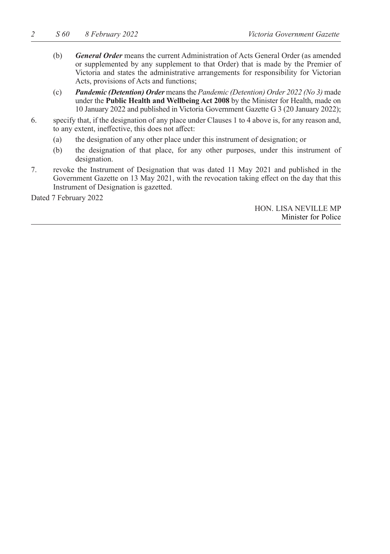- (b) *General Order* means the current Administration of Acts General Order (as amended or supplemented by any supplement to that Order) that is made by the Premier of Victoria and states the administrative arrangements for responsibility for Victorian Acts, provisions of Acts and functions;
- (c) *Pandemic (Detention) Order* means the *Pandemic (Detention) Order 2022 (No 3)* made under the **Public Health and Wellbeing Act 2008** by the Minister for Health, made on 10 January 2022 and published in Victoria Government Gazette G 3 (20 January 2022);
- 6. specify that, if the designation of any place under Clauses 1 to 4 above is, for any reason and, to any extent, ineffective, this does not affect:
	- (a) the designation of any other place under this instrument of designation; or
	- (b) the designation of that place, for any other purposes, under this instrument of designation.
- 7. revoke the Instrument of Designation that was dated 11 May 2021 and published in the Government Gazette on 13 May 2021, with the revocation taking effect on the day that this Instrument of Designation is gazetted.

Dated 7 February 2022

HON. LISA NEVILLE MP Minister for Police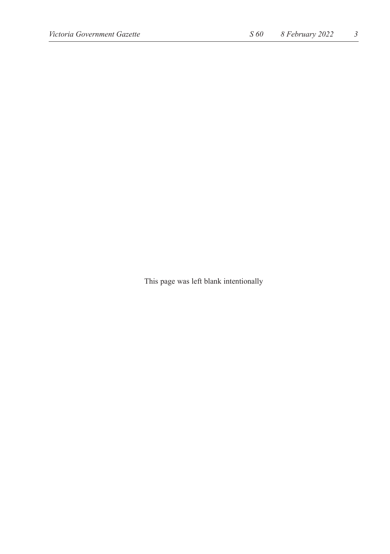This page was left blank intentionally